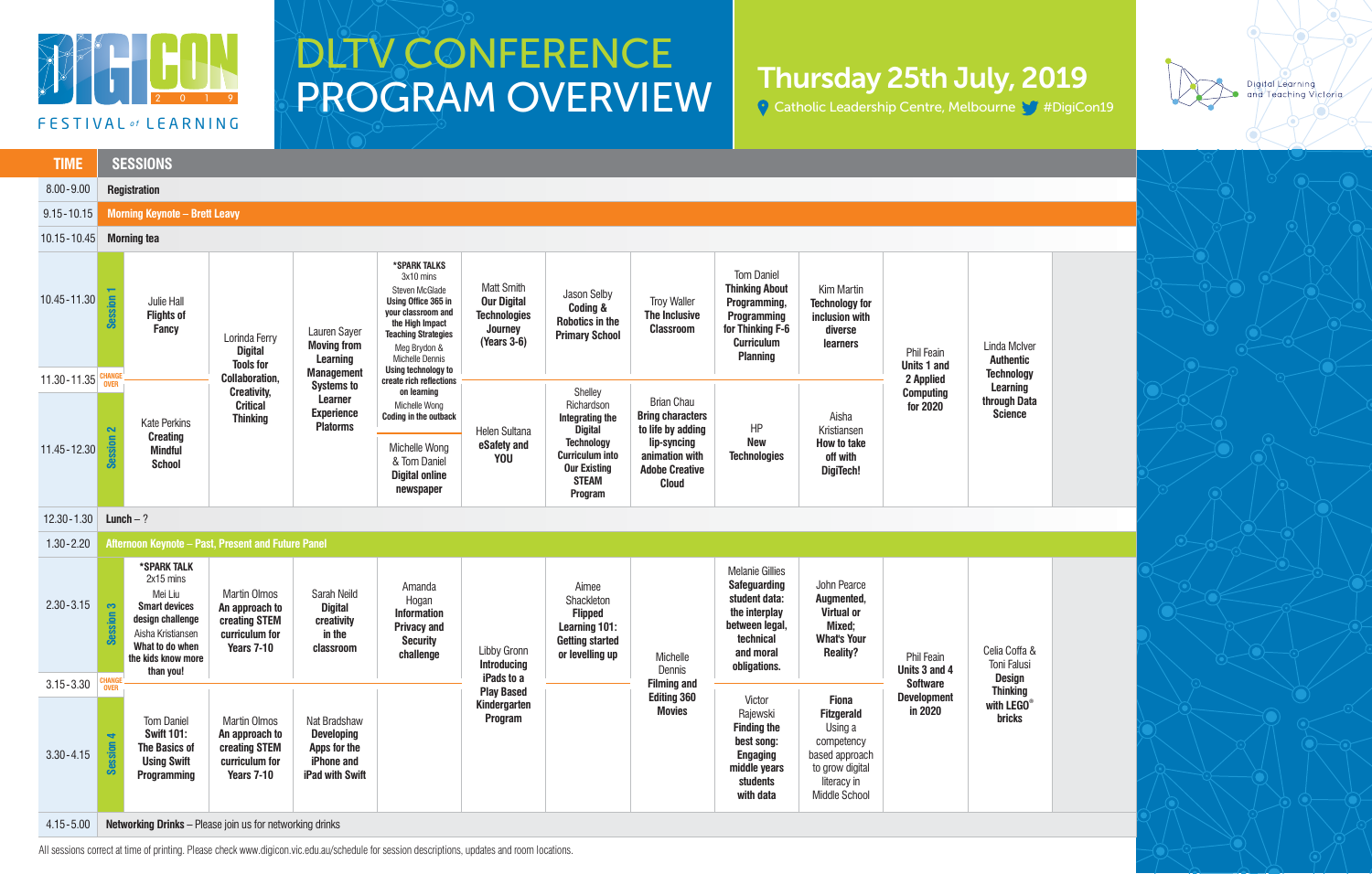

## DLTV CONFERENCE PROGRAM OVERVIEW

All sessions correct at time of printing. Please check www.digicon.vic.edu.au/schedule for session descriptions, updates and room locations.



## Thursday 25th July, 2019

Catholic Leadership Centre, Melbourne V #DigiCon19

| <b>TIME</b>                  |                                           | <b>SESSIONS</b>                                                                                                                                            |                                                                                               |                                                                                    |                                                                                                                                                                                                                                                                                                       |                                                                                          |                                                                                                                                                             |                                                                                                                                             |                                                                                                                                             |                                                                                                                                 |                                                                        |                                                                                                            |
|------------------------------|-------------------------------------------|------------------------------------------------------------------------------------------------------------------------------------------------------------|-----------------------------------------------------------------------------------------------|------------------------------------------------------------------------------------|-------------------------------------------------------------------------------------------------------------------------------------------------------------------------------------------------------------------------------------------------------------------------------------------------------|------------------------------------------------------------------------------------------|-------------------------------------------------------------------------------------------------------------------------------------------------------------|---------------------------------------------------------------------------------------------------------------------------------------------|---------------------------------------------------------------------------------------------------------------------------------------------|---------------------------------------------------------------------------------------------------------------------------------|------------------------------------------------------------------------|------------------------------------------------------------------------------------------------------------|
| $8.00 - 9.00$                |                                           | <b>Registration</b>                                                                                                                                        |                                                                                               |                                                                                    |                                                                                                                                                                                                                                                                                                       |                                                                                          |                                                                                                                                                             |                                                                                                                                             |                                                                                                                                             |                                                                                                                                 |                                                                        |                                                                                                            |
| $9.15 - 10.15$               |                                           | <b>Morning Keynote - Brett Leavy</b>                                                                                                                       |                                                                                               |                                                                                    |                                                                                                                                                                                                                                                                                                       |                                                                                          |                                                                                                                                                             |                                                                                                                                             |                                                                                                                                             |                                                                                                                                 |                                                                        |                                                                                                            |
| 10.15 - 10.45                |                                           | <b>Morning tea</b>                                                                                                                                         |                                                                                               |                                                                                    |                                                                                                                                                                                                                                                                                                       |                                                                                          |                                                                                                                                                             |                                                                                                                                             |                                                                                                                                             |                                                                                                                                 |                                                                        |                                                                                                            |
| 10.45 - 11.30<br>11.30-11.35 | <b>Session</b>                            | Julie Hall<br><b>Flights of</b><br><b>Fancy</b>                                                                                                            | Lorinda Ferry<br><b>Digital</b><br><b>Tools for</b><br><b>Collaboration,</b>                  | Lauren Sayer<br><b>Moving from</b><br><b>Learning</b><br><b>Management</b>         | *SPARK TALKS<br>3x10 mins<br>Steven McGlade<br>Using Office 365 in<br>your classroom and<br>the High Impact<br><b>Teaching Strategies</b><br>Meg Brydon &<br><b>Michelle Dennis</b><br>Using technology to<br>create rich reflections<br>on learning<br>Michelle Wong<br><b>Coding in the outback</b> | <b>Matt Smith</b><br><b>Our Digital</b><br><b>Technologies</b><br>Journey<br>(Years 3-6) | Jason Selby<br><b>Coding &amp;</b><br><b>Robotics in the</b><br><b>Primary School</b>                                                                       | <b>Troy Waller</b><br>The Inclusive<br><b>Classroom</b>                                                                                     | <b>Tom Daniel</b><br><b>Thinking About</b><br>Programming,<br>Programming<br>for Thinking F-6<br><b>Curriculum</b><br><b>Planning</b>       | Kim Martin<br><b>Technology for</b><br>inclusion with<br>diverse<br>learners                                                    | Phil Feain<br>Units 1 and<br>2 Applied<br><b>Computing</b><br>for 2020 | Linda McIver<br><b>Authentic</b><br><b>Technology</b><br><b>Learning</b><br>through Data<br><b>Science</b> |
|                              | <b>CHANG</b><br>OVER<br>$\mathbf{\Omega}$ | <b>Kate Perkins</b><br><b>Creating</b><br><b>Mindful</b><br><b>School</b>                                                                                  | <b>Creativity,</b><br><b>Critical</b><br><b>Thinking</b>                                      | <b>Systems to</b><br><b>Learner</b><br><b>Experience</b><br><b>Platorms</b>        |                                                                                                                                                                                                                                                                                                       | Helen Sultana<br>eSafety and<br><b>YOU</b>                                               | Shelley<br>Richardson<br>Integrating the<br><b>Digital</b><br><b>Technology</b><br><b>Curriculum into</b><br><b>Our Existing</b><br><b>STEAM</b><br>Program | <b>Brian Chau</b><br><b>Bring characters</b><br>to life by adding<br>lip-syncing<br>animation with<br><b>Adobe Creative</b><br><b>Cloud</b> | HP<br><b>New</b><br><b>Technologies</b>                                                                                                     | Aisha<br>Kristiansen<br>How to take<br>off with<br>DigiTech!                                                                    |                                                                        |                                                                                                            |
| 11.45 - 12.30                | <b>Session</b>                            |                                                                                                                                                            |                                                                                               |                                                                                    | Michelle Wong<br>& Tom Daniel<br><b>Digital online</b><br>newspaper                                                                                                                                                                                                                                   |                                                                                          |                                                                                                                                                             |                                                                                                                                             |                                                                                                                                             |                                                                                                                                 |                                                                        |                                                                                                            |
| $12.30 - 1.30$               |                                           | Lunch $-$ ?                                                                                                                                                |                                                                                               |                                                                                    |                                                                                                                                                                                                                                                                                                       |                                                                                          |                                                                                                                                                             |                                                                                                                                             |                                                                                                                                             |                                                                                                                                 |                                                                        |                                                                                                            |
| $1.30 - 2.20$                |                                           | Afternoon Keynote - Past, Present and Future Panel                                                                                                         |                                                                                               |                                                                                    |                                                                                                                                                                                                                                                                                                       |                                                                                          |                                                                                                                                                             |                                                                                                                                             |                                                                                                                                             |                                                                                                                                 |                                                                        |                                                                                                            |
| $2.30 - 3.15$                | Session 3                                 | *SPARK TALK<br>2x15 mins<br>Mei Liu<br><b>Smart devices</b><br>design challenge<br>Aisha Kristiansen<br>What to do when<br>the kids know more<br>than you! | <b>Martin Olmos</b><br>An approach to<br>creating STEM<br>curriculum for<br><b>Years 7-10</b> | Sarah Neild<br><b>Digital</b><br>creativity<br>in the<br>classroom                 | Amanda<br>Hogan<br><b>Information</b><br><b>Privacy and</b><br><b>Security</b><br>challenge                                                                                                                                                                                                           | <b>Libby Gronn</b><br><b>Introducing</b>                                                 | Aimee<br>Shackleton<br><b>Flipped</b><br>Learning 101:<br><b>Getting started</b><br>or levelling up                                                         | Michelle<br>Dennis                                                                                                                          | <b>Melanie Gillies</b><br><b>Safeguarding</b><br>student data:<br>the interplay<br>between legal,<br>technical<br>and moral<br>obligations. | John Pearce<br>Augmented,<br>Virtual or<br>Mixed;<br><b>What's Your</b><br><b>Reality?</b>                                      | Phil Feain<br>Units 3 and 4                                            | Celia Coffa &<br>Toni Falusi                                                                               |
| $3.15 - 3.30$                | <b>CHANGE</b><br>OVER                     |                                                                                                                                                            |                                                                                               |                                                                                    |                                                                                                                                                                                                                                                                                                       | iPads to a<br><b>Play Based</b>                                                          |                                                                                                                                                             | <b>Filming and</b>                                                                                                                          |                                                                                                                                             |                                                                                                                                 | <b>Software</b><br><b>Development</b>                                  | <b>Design</b><br><b>Thinking</b>                                                                           |
| $3.30 - 4.15$                | $\blacktriangleleft$<br><b>Session</b>    | <b>Tom Daniel</b><br><b>Swift 101:</b><br><b>The Basics of</b><br><b>Using Swift</b><br>Programming                                                        | <b>Martin Olmos</b><br>An approach to<br>creating STEM<br>curriculum for<br>Years 7-10        | Nat Bradshaw<br><b>Developing</b><br>Apps for the<br>iPhone and<br>iPad with Swift |                                                                                                                                                                                                                                                                                                       | Kindergarten<br>Program                                                                  |                                                                                                                                                             | <b>Editing 360</b><br><b>Movies</b>                                                                                                         | Victor<br>Rajewski<br><b>Finding the</b><br>best song:<br><b>Engaging</b><br>middle years<br>students<br>with data                          | <b>Fiona</b><br><b>Fitzgerald</b><br>Using a<br>competency<br>based approach<br>to grow digital<br>literacy in<br>Middle School | in 2020                                                                | with LEGO®<br><b>bricks</b>                                                                                |
| $4.15 - 5.00$                |                                           | Networking Drinks - Please join us for networking drinks                                                                                                   |                                                                                               |                                                                                    |                                                                                                                                                                                                                                                                                                       |                                                                                          |                                                                                                                                                             |                                                                                                                                             |                                                                                                                                             |                                                                                                                                 |                                                                        |                                                                                                            |